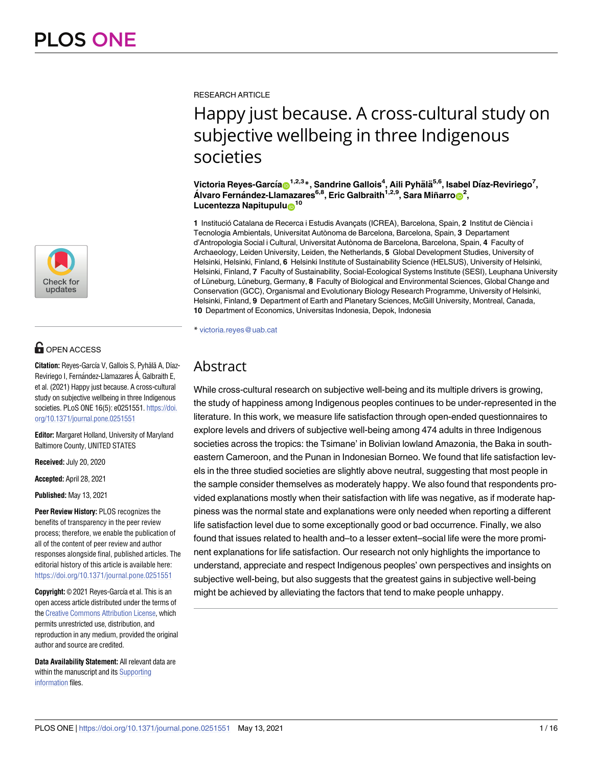

# **OPEN ACCESS**

**Citation:** Reyes-García V, Gallois S, Pyhälä A, Díaz-Reviriego I, Fernández-Llamazares Á, Galbraith E, et al. (2021) Happy just because. A cross-cultural study on subjective wellbeing in three Indigenous societies. PLoS ONE 16(5): e0251551. [https://doi.](https://doi.org/10.1371/journal.pone.0251551) [org/10.1371/journal.pone.0251551](https://doi.org/10.1371/journal.pone.0251551)

**Editor:** Margaret Holland, University of Maryland Baltimore County, UNITED STATES

**Received:** July 20, 2020

**Accepted:** April 28, 2021

**Published:** May 13, 2021

**Peer Review History:** PLOS recognizes the benefits of transparency in the peer review process; therefore, we enable the publication of all of the content of peer review and author responses alongside final, published articles. The editorial history of this article is available here: <https://doi.org/10.1371/journal.pone.0251551>

**Copyright:** © 2021 Reyes-García et al. This is an open access article distributed under the terms of the Creative [Commons](http://creativecommons.org/licenses/by/4.0/) Attribution License, which permits unrestricted use, distribution, and reproduction in any medium, provided the original author and source are credited.

**Data Availability Statement:** All relevant data are within the manuscript and its [Supporting](#page-11-0) [information](#page-11-0) files.

RESEARCH ARTICLE

# Happy just because. A cross-cultural study on subjective wellbeing in three Indigenous societies

 $\bf{V}$ ictoria Reyes-García $\bf{0}^{1,2,3}$ \*, Sandrine Gallois<sup>4</sup>, Aili Pyhälä<sup>5,6</sup>, Isabel Díaz-Reviriego<sup>7</sup>,  $\hat{\mathbf{A}}$ Ivaro Fernández-Llamazares<sup>6,8</sup>, Eric Galbraith<sup>1,2,9</sup>, Sara Miñarro $\mathbf{O}^2$ , **Lucentezza Napitupulu**<sup>10</sup>

1 Institució Catalana de Recerca i Estudis Avançats (ICREA), Barcelona, Spain, 2 Institut de Ciència i Tecnologia Ambientals, Universitat Autònoma de Barcelona, Barcelona, Spain, **3** Departament d'Antropologia Social i Cultural, Universitat Autònoma de Barcelona, Barcelona, Spain, **4** Faculty of Archaeology, Leiden University, Leiden, the Netherlands, **5** Global Development Studies, University of Helsinki, Helsinki, Finland, **6** Helsinki Institute of Sustainability Science (HELSUS), University of Helsinki, Helsinki, Finland, **7** Faculty of Sustainability, Social-Ecological Systems Institute (SESI), Leuphana University of Lüneburg, Lüneburg, Germany, 8 Faculty of Biological and Environmental Sciences, Global Change and Conservation (GCC), Organismal and Evolutionary Biology Research Programme, University of Helsinki, Helsinki, Finland, **9** Department of Earth and Planetary Sciences, McGill University, Montreal, Canada, **10** Department of Economics, Universitas Indonesia, Depok, Indonesia

\* victoria.reyes@uab.cat

# Abstract

While cross-cultural research on subjective well-being and its multiple drivers is growing, the study of happiness among Indigenous peoples continues to be under-represented in the literature. In this work, we measure life satisfaction through open-ended questionnaires to explore levels and drivers of subjective well-being among 474 adults in three Indigenous societies across the tropics: the Tsimane' in Bolivian lowland Amazonia, the Baka in southeastern Cameroon, and the Punan in Indonesian Borneo. We found that life satisfaction levels in the three studied societies are slightly above neutral, suggesting that most people in the sample consider themselves as moderately happy. We also found that respondents provided explanations mostly when their satisfaction with life was negative, as if moderate happiness was the normal state and explanations were only needed when reporting a different life satisfaction level due to some exceptionally good or bad occurrence. Finally, we also found that issues related to health and–to a lesser extent–social life were the more prominent explanations for life satisfaction. Our research not only highlights the importance to understand, appreciate and respect Indigenous peoples' own perspectives and insights on subjective well-being, but also suggests that the greatest gains in subjective well-being might be achieved by alleviating the factors that tend to make people unhappy.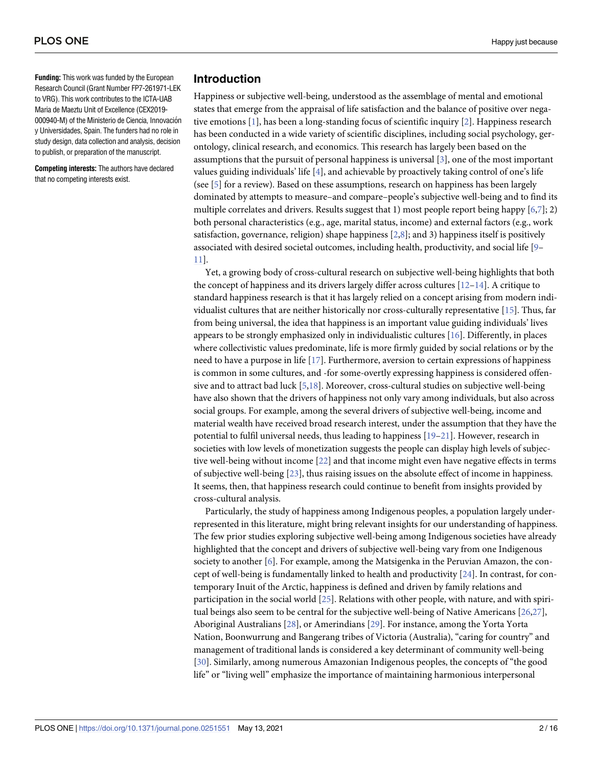<span id="page-1-0"></span>**Funding:** This work was funded by the European Research Council (Grant Number FP7-261971-LEK to VRG). This work contributes to the ICTA-UAB Maria de Maeztu Unit of Excellence (CEX2019- 000940-M) of the Ministerio de Ciencia, Innovación y Universidades, Spain. The funders had no role in study design, data collection and analysis, decision to publish, or preparation of the manuscript.

**Competing interests:** The authors have declared that no competing interests exist.

## **Introduction**

Happiness or subjective well-being, understood as the assemblage of mental and emotional states that emerge from the appraisal of life satisfaction and the balance of positive over negative emotions [[1](#page-12-0)], has been a long-standing focus of scientific inquiry [[2](#page-12-0)]. Happiness research has been conducted in a wide variety of scientific disciplines, including social psychology, gerontology, clinical research, and economics. This research has largely been based on the assumptions that the pursuit of personal happiness is universal [\[3\]](#page-12-0), one of the most important values guiding individuals' life [\[4\]](#page-12-0), and achievable by proactively taking control of one's life (see [\[5\]](#page-12-0) for a review). Based on these assumptions, research on happiness has been largely dominated by attempts to measure–and compare–people's subjective well-being and to find its multiple correlates and drivers. Results suggest that 1) most people report being happy  $[6,7]$ ; 2) both personal characteristics (e.g., age, marital status, income) and external factors (e.g., work satisfaction, governance, religion) shape happiness  $[2,8]$  $[2,8]$ ; and 3) happiness itself is positively associated with desired societal outcomes, including health, productivity, and social life [[9](#page-12-0)– [11\]](#page-12-0).

Yet, a growing body of cross-cultural research on subjective well-being highlights that both the concept of happiness and its drivers largely differ across cultures  $[12-14]$ . A critique to standard happiness research is that it has largely relied on a concept arising from modern individualist cultures that are neither historically nor cross-culturally representative [\[15\]](#page-12-0). Thus, far from being universal, the idea that happiness is an important value guiding individuals' lives appears to be strongly emphasized only in individualistic cultures [\[16\]](#page-12-0). Differently, in places where collectivistic values predominate, life is more firmly guided by social relations or by the need to have a purpose in life [[17\]](#page-13-0). Furthermore, aversion to certain expressions of happiness is common in some cultures, and -for some-overtly expressing happiness is considered offensive and to attract bad luck [\[5,](#page-12-0)[18\]](#page-13-0). Moreover, cross-cultural studies on subjective well-being have also shown that the drivers of happiness not only vary among individuals, but also across social groups. For example, among the several drivers of subjective well-being, income and material wealth have received broad research interest, under the assumption that they have the potential to fulfil universal needs, thus leading to happiness [[19–21\]](#page-13-0). However, research in societies with low levels of monetization suggests the people can display high levels of subjective well-being without income [\[22\]](#page-13-0) and that income might even have negative effects in terms of subjective well-being [\[23\]](#page-13-0), thus raising issues on the absolute effect of income in happiness. It seems, then, that happiness research could continue to benefit from insights provided by cross-cultural analysis.

Particularly, the study of happiness among Indigenous peoples, a population largely underrepresented in this literature, might bring relevant insights for our understanding of happiness. The few prior studies exploring subjective well-being among Indigenous societies have already highlighted that the concept and drivers of subjective well-being vary from one Indigenous society to another [\[6](#page-12-0)]. For example, among the Matsigenka in the Peruvian Amazon, the concept of well-being is fundamentally linked to health and productivity [[24](#page-13-0)]. In contrast, for contemporary Inuit of the Arctic, happiness is defined and driven by family relations and participation in the social world [\[25\]](#page-13-0). Relations with other people, with nature, and with spiritual beings also seem to be central for the subjective well-being of Native Americans [\[26,27](#page-13-0)], Aboriginal Australians [\[28\]](#page-13-0), or Amerindians [[29](#page-13-0)]. For instance, among the Yorta Yorta Nation, Boonwurrung and Bangerang tribes of Victoria (Australia), "caring for country" and management of traditional lands is considered a key determinant of community well-being [\[30\]](#page-13-0). Similarly, among numerous Amazonian Indigenous peoples, the concepts of "the good life" or "living well" emphasize the importance of maintaining harmonious interpersonal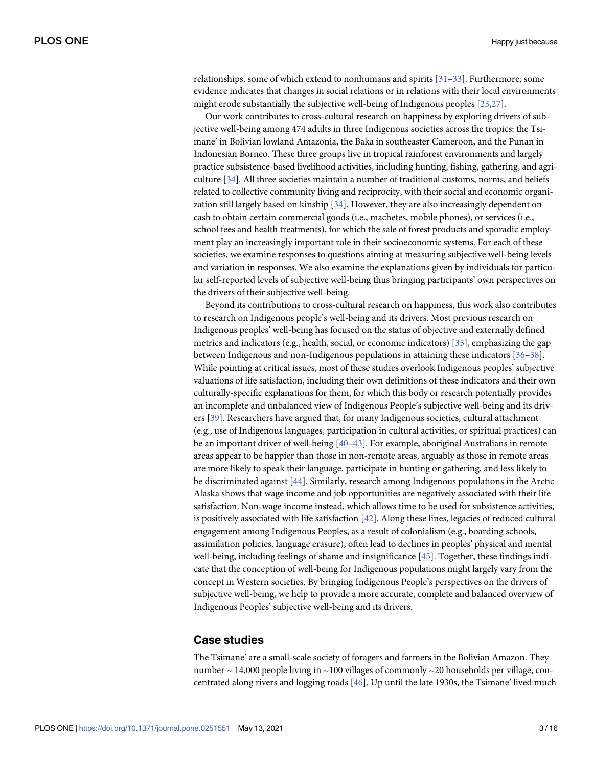<span id="page-2-0"></span>relationships, some of which extend to nonhumans and spirits [[31–33\]](#page-13-0). Furthermore, some evidence indicates that changes in social relations or in relations with their local environments might erode substantially the subjective well-being of Indigenous peoples [[23](#page-13-0),[27](#page-13-0)].

Our work contributes to cross-cultural research on happiness by exploring drivers of subjective well-being among 474 adults in three Indigenous societies across the tropics: the Tsimane' in Bolivian lowland Amazonia, the Baka in southeaster Cameroon, and the Punan in Indonesian Borneo. These three groups live in tropical rainforest environments and largely practice subsistence-based livelihood activities, including hunting, fishing, gathering, and agriculture [[34](#page-13-0)]. All three societies maintain a number of traditional customs, norms, and beliefs related to collective community living and reciprocity, with their social and economic organization still largely based on kinship [[34](#page-13-0)]. However, they are also increasingly dependent on cash to obtain certain commercial goods (i.e., machetes, mobile phones), or services (i.e., school fees and health treatments), for which the sale of forest products and sporadic employment play an increasingly important role in their socioeconomic systems. For each of these societies, we examine responses to questions aiming at measuring subjective well-being levels and variation in responses. We also examine the explanations given by individuals for particular self-reported levels of subjective well-being thus bringing participants' own perspectives on the drivers of their subjective well-being.

Beyond its contributions to cross-cultural research on happiness, this work also contributes to research on Indigenous people's well-being and its drivers. Most previous research on Indigenous peoples' well-being has focused on the status of objective and externally defined metrics and indicators (e.g., health, social, or economic indicators) [\[35](#page-13-0)], emphasizing the gap between Indigenous and non-Indigenous populations in attaining these indicators [[36–38\]](#page-13-0). While pointing at critical issues, most of these studies overlook Indigenous peoples' subjective valuations of life satisfaction, including their own definitions of these indicators and their own culturally-specific explanations for them, for which this body or research potentially provides an incomplete and unbalanced view of Indigenous People's subjective well-being and its drivers [\[39\]](#page-14-0). Researchers have argued that, for many Indigenous societies, cultural attachment (e.g., use of Indigenous languages, participation in cultural activities, or spiritual practices) can be an important driver of well-being [\[40–43](#page-14-0)]. For example, aboriginal Australians in remote areas appear to be happier than those in non-remote areas, arguably as those in remote areas are more likely to speak their language, participate in hunting or gathering, and less likely to be discriminated against [[44](#page-14-0)]. Similarly, research among Indigenous populations in the Arctic Alaska shows that wage income and job opportunities are negatively associated with their life satisfaction. Non-wage income instead, which allows time to be used for subsistence activities, is positively associated with life satisfaction  $[42]$ . Along these lines, legacies of reduced cultural engagement among Indigenous Peoples, as a result of colonialism (e.g., boarding schools, assimilation policies, language erasure), often lead to declines in peoples' physical and mental well-being, including feelings of shame and insignificance [\[45\]](#page-14-0). Together, these findings indicate that the conception of well-being for Indigenous populations might largely vary from the concept in Western societies. By bringing Indigenous People's perspectives on the drivers of subjective well-being, we help to provide a more accurate, complete and balanced overview of Indigenous Peoples' subjective well-being and its drivers.

### **Case studies**

The Tsimane' are a small-scale society of foragers and farmers in the Bolivian Amazon. They number  $\sim$  14,000 people living in  $\sim$  100 villages of commonly  $\sim$  20 households per village, concentrated along rivers and logging roads [\[46\]](#page-14-0). Up until the late 1930s, the Tsimane' lived much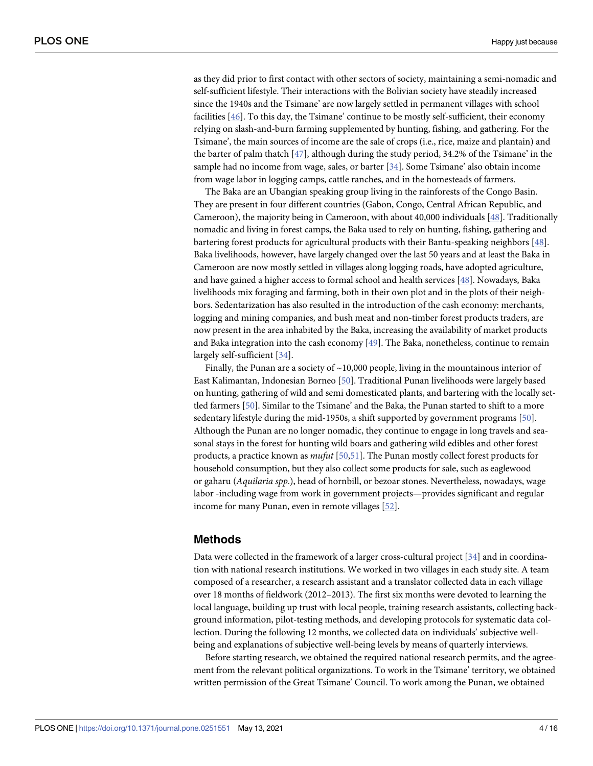<span id="page-3-0"></span>as they did prior to first contact with other sectors of society, maintaining a semi-nomadic and self-sufficient lifestyle. Their interactions with the Bolivian society have steadily increased since the 1940s and the Tsimane' are now largely settled in permanent villages with school facilities [\[46\]](#page-14-0). To this day, the Tsimane' continue to be mostly self-sufficient, their economy relying on slash-and-burn farming supplemented by hunting, fishing, and gathering. For the Tsimane', the main sources of income are the sale of crops (i.e., rice, maize and plantain) and the barter of palm thatch [\[47\]](#page-14-0), although during the study period, 34.2% of the Tsimane' in the sample had no income from wage, sales, or barter [\[34\]](#page-13-0). Some Tsimane' also obtain income from wage labor in logging camps, cattle ranches, and in the homesteads of farmers.

The Baka are an Ubangian speaking group living in the rainforests of the Congo Basin. They are present in four different countries (Gabon, Congo, Central African Republic, and Cameroon), the majority being in Cameroon, with about 40,000 individuals [\[48\]](#page-14-0). Traditionally nomadic and living in forest camps, the Baka used to rely on hunting, fishing, gathering and bartering forest products for agricultural products with their Bantu-speaking neighbors [\[48\]](#page-14-0). Baka livelihoods, however, have largely changed over the last 50 years and at least the Baka in Cameroon are now mostly settled in villages along logging roads, have adopted agriculture, and have gained a higher access to formal school and health services [\[48\]](#page-14-0). Nowadays, Baka livelihoods mix foraging and farming, both in their own plot and in the plots of their neighbors. Sedentarization has also resulted in the introduction of the cash economy: merchants, logging and mining companies, and bush meat and non-timber forest products traders, are now present in the area inhabited by the Baka, increasing the availability of market products and Baka integration into the cash economy [[49](#page-14-0)]. The Baka, nonetheless, continue to remain largely self-sufficient [[34](#page-13-0)].

Finally, the Punan are a society of  $\sim$ 10,000 people, living in the mountainous interior of East Kalimantan, Indonesian Borneo [[50](#page-14-0)]. Traditional Punan livelihoods were largely based on hunting, gathering of wild and semi domesticated plants, and bartering with the locally settled farmers [\[50\]](#page-14-0). Similar to the Tsimane' and the Baka, the Punan started to shift to a more sedentary lifestyle during the mid-1950s, a shift supported by government programs [\[50\]](#page-14-0). Although the Punan are no longer nomadic, they continue to engage in long travels and seasonal stays in the forest for hunting wild boars and gathering wild edibles and other forest products, a practice known as *mufut* [\[50,51](#page-14-0)]. The Punan mostly collect forest products for household consumption, but they also collect some products for sale, such as eaglewood or gaharu (*Aquilaria spp*.), head of hornbill, or bezoar stones. Nevertheless, nowadays, wage labor -including wage from work in government projects—provides significant and regular income for many Punan, even in remote villages [[52](#page-14-0)].

#### **Methods**

Data were collected in the framework of a larger cross-cultural project [\[34\]](#page-13-0) and in coordination with national research institutions. We worked in two villages in each study site. A team composed of a researcher, a research assistant and a translator collected data in each village over 18 months of fieldwork (2012–2013). The first six months were devoted to learning the local language, building up trust with local people, training research assistants, collecting background information, pilot-testing methods, and developing protocols for systematic data collection. During the following 12 months, we collected data on individuals' subjective wellbeing and explanations of subjective well-being levels by means of quarterly interviews.

Before starting research, we obtained the required national research permits, and the agreement from the relevant political organizations. To work in the Tsimane' territory, we obtained written permission of the Great Tsimane' Council. To work among the Punan, we obtained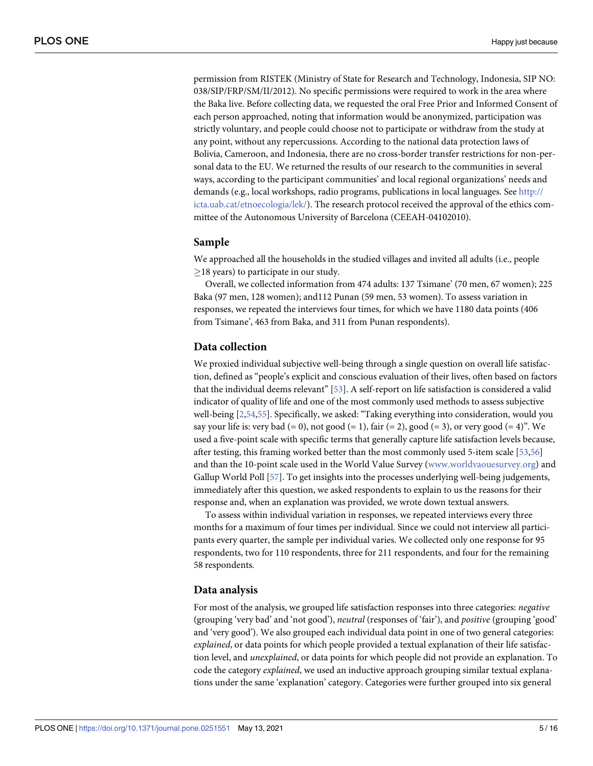<span id="page-4-0"></span>permission from RISTEK (Ministry of State for Research and Technology, Indonesia, SIP NO: 038/SIP/FRP/SM/II/2012). No specific permissions were required to work in the area where the Baka live. Before collecting data, we requested the oral Free Prior and Informed Consent of each person approached, noting that information would be anonymized, participation was strictly voluntary, and people could choose not to participate or withdraw from the study at any point, without any repercussions. According to the national data protection laws of Bolivia, Cameroon, and Indonesia, there are no cross-border transfer restrictions for non-personal data to the EU. We returned the results of our research to the communities in several ways, according to the participant communities' and local regional organizations' needs and demands (e.g., local workshops, radio programs, publications in local languages. See [http://](http://icta.uab.cat/etnoecologia/lek/) [icta.uab.cat/etnoecologia/lek/\)](http://icta.uab.cat/etnoecologia/lek/). The research protocol received the approval of the ethics committee of the Autonomous University of Barcelona (CEEAH-04102010).

#### **Sample**

We approached all the households in the studied villages and invited all adults (i.e., people  $\geq$ 18 years) to participate in our study.

Overall, we collected information from 474 adults: 137 Tsimane' (70 men, 67 women); 225 Baka (97 men, 128 women); and112 Punan (59 men, 53 women). To assess variation in responses, we repeated the interviews four times, for which we have 1180 data points (406 from Tsimane', 463 from Baka, and 311 from Punan respondents).

#### **Data collection**

We proxied individual subjective well-being through a single question on overall life satisfaction, defined as "people's explicit and conscious evaluation of their lives, often based on factors that the individual deems relevant" [[53](#page-14-0)]. A self-report on life satisfaction is considered a valid indicator of quality of life and one of the most commonly used methods to assess subjective well-being [\[2](#page-12-0)[,54,55\]](#page-14-0). Specifically, we asked: "Taking everything into consideration, would you say your life is: very bad  $(= 0)$ , not good  $(= 1)$ , fair  $(= 2)$ , good  $(= 3)$ , or very good  $(= 4)$ ". We used a five-point scale with specific terms that generally capture life satisfaction levels because, after testing, this framing worked better than the most commonly used 5-item scale [\[53,56](#page-14-0)] and than the 10-point scale used in the World Value Survey [\(www.worldvaouesurvey.org](http://www.worldvaouesurvey.org)) and Gallup World Poll [[57](#page-14-0)]. To get insights into the processes underlying well-being judgements, immediately after this question, we asked respondents to explain to us the reasons for their response and, when an explanation was provided, we wrote down textual answers.

To assess within individual variation in responses, we repeated interviews every three months for a maximum of four times per individual. Since we could not interview all participants every quarter, the sample per individual varies. We collected only one response for 95 respondents, two for 110 respondents, three for 211 respondents, and four for the remaining 58 respondents.

#### **Data analysis**

For most of the analysis, we grouped life satisfaction responses into three categories: *negative* (grouping 'very bad' and 'not good'), *neutral* (responses of 'fair'), and *positive* (grouping 'good' and 'very good'). We also grouped each individual data point in one of two general categories: *explained*, or data points for which people provided a textual explanation of their life satisfaction level, and *unexplained*, or data points for which people did not provide an explanation. To code the category *explained*, we used an inductive approach grouping similar textual explanations under the same 'explanation' category. Categories were further grouped into six general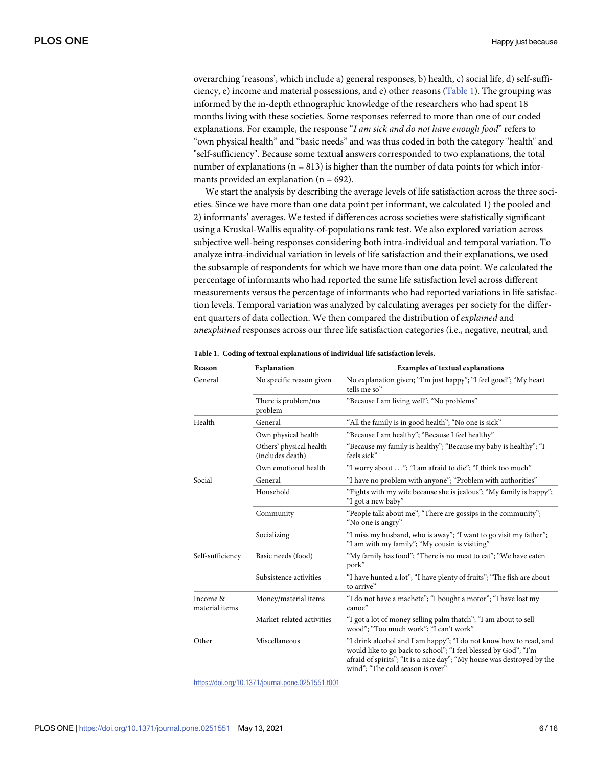overarching 'reasons', which include a) general responses, b) health, c) social life, d) self-sufficiency, e) income and material possessions, and e) other reasons (Table 1). The grouping was informed by the in-depth ethnographic knowledge of the researchers who had spent 18 months living with these societies. Some responses referred to more than one of our coded explanations. For example, the response "*I am sick and do not have enough food*" refers to "own physical health" and "basic needs" and was thus coded in both the category "health" and "self-sufficiency". Because some textual answers corresponded to two explanations, the total number of explanations ( $n = 813$ ) is higher than the number of data points for which informants provided an explanation ( $n = 692$ ).

We start the analysis by describing the average levels of life satisfaction across the three societies. Since we have more than one data point per informant, we calculated 1) the pooled and 2) informants' averages. We tested if differences across societies were statistically significant using a Kruskal-Wallis equality-of-populations rank test. We also explored variation across subjective well-being responses considering both intra-individual and temporal variation. To analyze intra-individual variation in levels of life satisfaction and their explanations, we used the subsample of respondents for which we have more than one data point. We calculated the percentage of informants who had reported the same life satisfaction level across different measurements versus the percentage of informants who had reported variations in life satisfaction levels. Temporal variation was analyzed by calculating averages per society for the different quarters of data collection. We then compared the distribution of *explained* and *unexplained* responses across our three life satisfaction categories (i.e., negative, neutral, and

| Reason                     | <b>Explanation</b>                          | <b>Examples of textual explanations</b>                                                                                                                                                                                                            |  |  |
|----------------------------|---------------------------------------------|----------------------------------------------------------------------------------------------------------------------------------------------------------------------------------------------------------------------------------------------------|--|--|
| General                    | No specific reason given                    | No explanation given; "I'm just happy"; "I feel good"; "My heart<br>tells me so"                                                                                                                                                                   |  |  |
|                            | There is problem/no<br>problem              | "Because I am living well"; "No problems"                                                                                                                                                                                                          |  |  |
| Health                     | General                                     | "All the family is in good health"; "No one is sick"                                                                                                                                                                                               |  |  |
|                            | Own physical health                         | "Because I am healthy"; "Because I feel healthy"                                                                                                                                                                                                   |  |  |
|                            | Others' physical health<br>(includes death) | "Because my family is healthy"; "Because my baby is healthy"; "I<br>feels sick"                                                                                                                                                                    |  |  |
|                            | Own emotional health                        | "I worry about"; "I am afraid to die"; "I think too much"                                                                                                                                                                                          |  |  |
| Social                     | General                                     | "I have no problem with anyone"; "Problem with authorities"                                                                                                                                                                                        |  |  |
|                            | Household                                   | "Fights with my wife because she is jealous"; "My family is happy";<br>"I got a new baby"                                                                                                                                                          |  |  |
|                            | Community                                   | "People talk about me"; "There are gossips in the community";<br>"No one is angry"                                                                                                                                                                 |  |  |
|                            | Socializing                                 | "I miss my husband, who is away"; "I want to go visit my father";<br>"I am with my family"; "My cousin is visiting"                                                                                                                                |  |  |
| Self-sufficiency           | Basic needs (food)                          | "My family has food"; "There is no meat to eat"; "We have eaten<br>pork"                                                                                                                                                                           |  |  |
|                            | Subsistence activities                      | "I have hunted a lot"; "I have plenty of fruits"; "The fish are about<br>to arrive"                                                                                                                                                                |  |  |
| Income &<br>material items | Money/material items                        | "I do not have a machete"; "I bought a motor"; "I have lost my<br>canoe"                                                                                                                                                                           |  |  |
|                            | Market-related activities                   | "I got a lot of money selling palm thatch"; "I am about to sell<br>wood"; "Too much work"; "I can't work"                                                                                                                                          |  |  |
| Other                      | Miscellaneous                               | "I drink alcohol and I am happy"; "I do not know how to read, and<br>would like to go back to school"; "I feel blessed by God"; "I'm<br>afraid of spirits"; "It is a nice day"; "My house was destroyed by the<br>wind"; "The cold season is over" |  |  |

|  |  | Table 1. Coding of textual explanations of individual life satisfaction levels. |  |  |  |
|--|--|---------------------------------------------------------------------------------|--|--|--|
|--|--|---------------------------------------------------------------------------------|--|--|--|

<https://doi.org/10.1371/journal.pone.0251551.t001>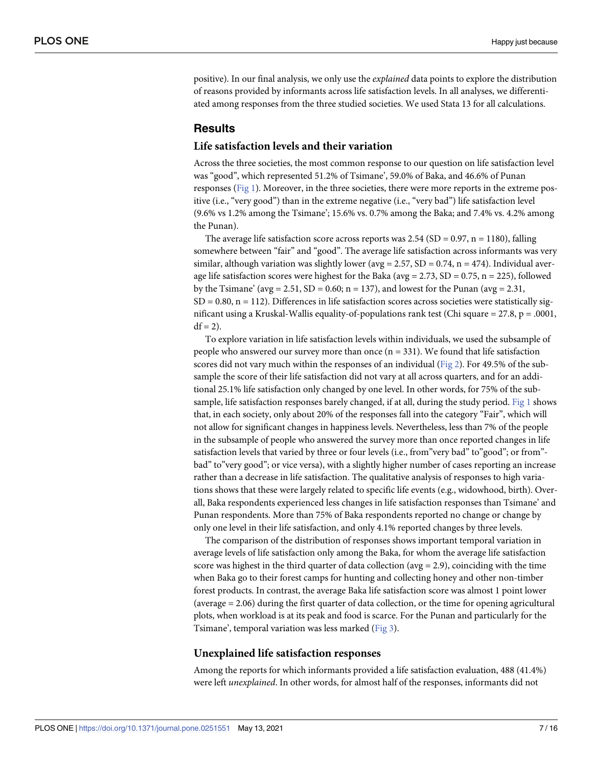<span id="page-6-0"></span>positive). In our final analysis, we only use the *explained* data points to explore the distribution of reasons provided by informants across life satisfaction levels. In all analyses, we differentiated among responses from the three studied societies. We used Stata 13 for all calculations.

#### **Results**

#### **Life satisfaction levels and their variation**

Across the three societies, the most common response to our question on life satisfaction level was "good", which represented 51.2% of Tsimane', 59.0% of Baka, and 46.6% of Punan responses [\(Fig](#page-7-0) 1). Moreover, in the three societies, there were more reports in the extreme positive (i.e., "very good") than in the extreme negative (i.e., "very bad") life satisfaction level (9.6% vs 1.2% among the Tsimane'; 15.6% vs. 0.7% among the Baka; and 7.4% vs. 4.2% among the Punan).

The average life satisfaction score across reports was  $2.54$  (SD = 0.97, n = 1180), falling somewhere between "fair" and "good". The average life satisfaction across informants was very similar, although variation was slightly lower ( $\text{avg} = 2.57$ ,  $SD = 0.74$ ,  $n = 474$ ). Individual average life satisfaction scores were highest for the Baka (avg =  $2.73$ , SD =  $0.75$ , n =  $225$ ), followed by the Tsimane' ( $avg = 2.51$ ,  $SD = 0.60$ ;  $n = 137$ ), and lowest for the Punan ( $avg = 2.31$ ,  $SD = 0.80$ ,  $n = 112$ ). Differences in life satisfaction scores across societies were statistically significant using a Kruskal-Wallis equality-of-populations rank test (Chi square = 27.8, p = .0001,  $df = 2$ ).

To explore variation in life satisfaction levels within individuals, we used the subsample of people who answered our survey more than once  $(n = 331)$ . We found that life satisfaction scores did not vary much within the responses of an individual ([Fig](#page-7-0) 2). For 49.5% of the subsample the score of their life satisfaction did not vary at all across quarters, and for an additional 25.1% life satisfaction only changed by one level. In other words, for 75% of the subsample, life satisfaction responses barely changed, if at all, during the study period. [Fig](#page-7-0) 1 shows that, in each society, only about 20% of the responses fall into the category "Fair", which will not allow for significant changes in happiness levels. Nevertheless, less than 7% of the people in the subsample of people who answered the survey more than once reported changes in life satisfaction levels that varied by three or four levels (i.e., from"very bad" to"good"; or from"bad" to"very good"; or vice versa), with a slightly higher number of cases reporting an increase rather than a decrease in life satisfaction. The qualitative analysis of responses to high variations shows that these were largely related to specific life events (e.g., widowhood, birth). Overall, Baka respondents experienced less changes in life satisfaction responses than Tsimane' and Punan respondents. More than 75% of Baka respondents reported no change or change by only one level in their life satisfaction, and only 4.1% reported changes by three levels.

The comparison of the distribution of responses shows important temporal variation in average levels of life satisfaction only among the Baka, for whom the average life satisfaction score was highest in the third quarter of data collection ( $avg = 2.9$ ), coinciding with the time when Baka go to their forest camps for hunting and collecting honey and other non-timber forest products. In contrast, the average Baka life satisfaction score was almost 1 point lower (average = 2.06) during the first quarter of data collection, or the time for opening agricultural plots, when workload is at its peak and food is scarce. For the Punan and particularly for the Tsimane', temporal variation was less marked [\(Fig](#page-8-0) 3).

#### **Unexplained life satisfaction responses**

Among the reports for which informants provided a life satisfaction evaluation, 488 (41.4%) were left *unexplained*. In other words, for almost half of the responses, informants did not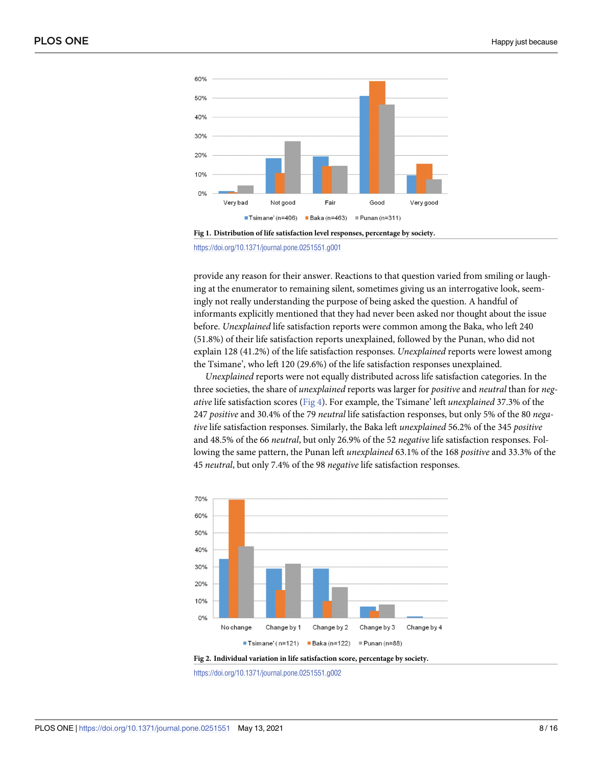<span id="page-7-0"></span>



<https://doi.org/10.1371/journal.pone.0251551.g001>

provide any reason for their answer. Reactions to that question varied from smiling or laughing at the enumerator to remaining silent, sometimes giving us an interrogative look, seemingly not really understanding the purpose of being asked the question. A handful of informants explicitly mentioned that they had never been asked nor thought about the issue before. *Unexplained* life satisfaction reports were common among the Baka, who left 240 (51.8%) of their life satisfaction reports unexplained, followed by the Punan, who did not explain 128 (41.2%) of the life satisfaction responses. *Unexplained* reports were lowest among the Tsimane', who left 120 (29.6%) of the life satisfaction responses unexplained.

*Unexplained* reports were not equally distributed across life satisfaction categories. In the three societies, the share of *unexplained* reports was larger for *positive* and *neutral* than for *negative* life satisfaction scores ([Fig](#page-8-0) 4). For example, the Tsimane' left *unexplained* 37.3% of the 247 *positive* and 30.4% of the 79 *neutral* life satisfaction responses, but only 5% of the 80 *negative* life satisfaction responses. Similarly, the Baka left *unexplained* 56.2% of the 345 *positive* and 48.5% of the 66 *neutral*, but only 26.9% of the 52 *negative* life satisfaction responses. Following the same pattern, the Punan left *unexplained* 63.1% of the 168 *positive* and 33.3% of the 45 *neutral*, but only 7.4% of the 98 *negative* life satisfaction responses.



**[Fig](#page-6-0) 2. Individual variation in life satisfaction score, percentage by society.**

<https://doi.org/10.1371/journal.pone.0251551.g002>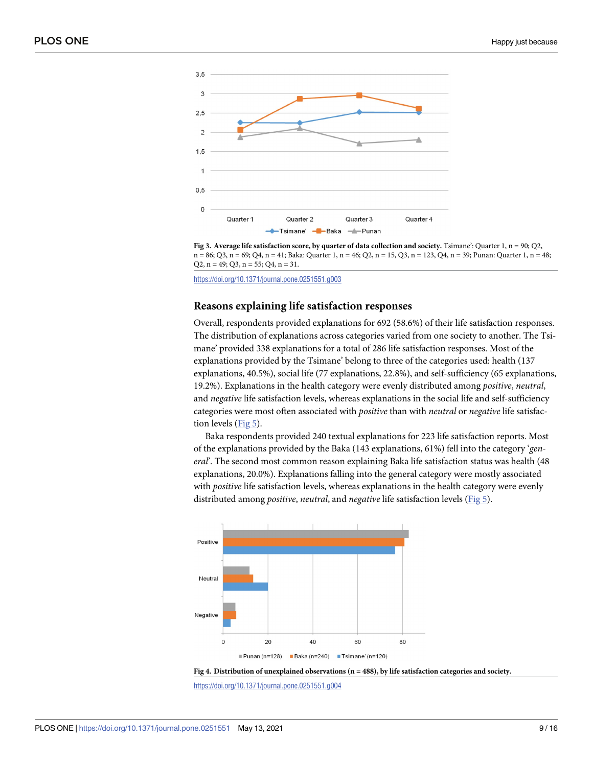<span id="page-8-0"></span>

**[Fig](#page-6-0) 3. Average life satisfaction score, by quarter of data collection and society.** Tsimane': Quarter 1, n = 90; Q2, n = 86; Q3, n = 69; Q4, n = 41; Baka: Quarter 1, n = 46; Q2, n = 15, Q3, n = 123, Q4, n = 39; Punan: Quarter 1, n = 48;  $Q2$ ,  $n = 49$ ;  $Q3$ ,  $n = 55$ ;  $Q4$ ,  $n = 31$ .

<https://doi.org/10.1371/journal.pone.0251551.g003>

#### **Reasons explaining life satisfaction responses**

Overall, respondents provided explanations for 692 (58.6%) of their life satisfaction responses. The distribution of explanations across categories varied from one society to another. The Tsimane' provided 338 explanations for a total of 286 life satisfaction responses. Most of the explanations provided by the Tsimane' belong to three of the categories used: health (137 explanations, 40.5%), social life (77 explanations, 22.8%), and self-sufficiency (65 explanations, 19.2%). Explanations in the health category were evenly distributed among *positive*, *neutral*, and *negative* life satisfaction levels, whereas explanations in the social life and self-sufficiency categories were most often associated with *positive* than with *neutral* or *negative* life satisfaction levels ([Fig](#page-9-0) 5).

Baka respondents provided 240 textual explanations for 223 life satisfaction reports. Most of the explanations provided by the Baka (143 explanations, 61%) fell into the category '*general*'. The second most common reason explaining Baka life satisfaction status was health (48 explanations, 20.0%). Explanations falling into the general category were mostly associated with *positive* life satisfaction levels, whereas explanations in the health category were evenly distributed among *positive*, *neutral*, and *negative* life satisfaction levels [\(Fig](#page-9-0) 5).





<https://doi.org/10.1371/journal.pone.0251551.g004>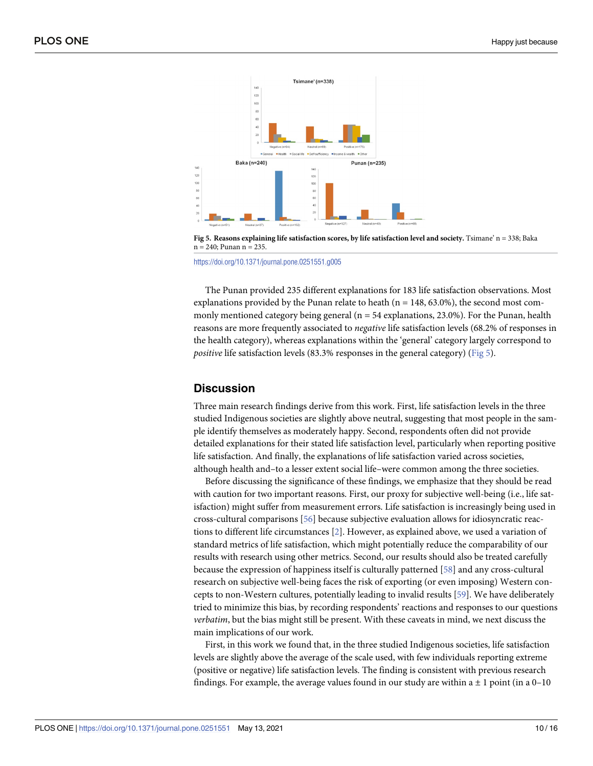<span id="page-9-0"></span>

**[Fig](#page-8-0) 5. Reasons explaining life satisfaction scores, by life satisfaction level and society.** Tsimane' n = 338; Baka n = 240; Punan n = 235.

<https://doi.org/10.1371/journal.pone.0251551.g005>

The Punan provided 235 different explanations for 183 life satisfaction observations. Most explanations provided by the Punan relate to heath ( $n = 148, 63.0\%$ ), the second most commonly mentioned category being general ( $n = 54$  explanations, 23.0%). For the Punan, health reasons are more frequently associated to *negative* life satisfaction levels (68.2% of responses in the health category), whereas explanations within the 'general' category largely correspond to *positive* life satisfaction levels (83.3% responses in the general category) (Fig 5).

#### **Discussion**

Three main research findings derive from this work. First, life satisfaction levels in the three studied Indigenous societies are slightly above neutral, suggesting that most people in the sample identify themselves as moderately happy. Second, respondents often did not provide detailed explanations for their stated life satisfaction level, particularly when reporting positive life satisfaction. And finally, the explanations of life satisfaction varied across societies, although health and–to a lesser extent social life–were common among the three societies.

Before discussing the significance of these findings, we emphasize that they should be read with caution for two important reasons. First, our proxy for subjective well-being (i.e., life satisfaction) might suffer from measurement errors. Life satisfaction is increasingly being used in cross-cultural comparisons [\[56\]](#page-14-0) because subjective evaluation allows for idiosyncratic reactions to different life circumstances [[2](#page-12-0)]. However, as explained above, we used a variation of standard metrics of life satisfaction, which might potentially reduce the comparability of our results with research using other metrics. Second, our results should also be treated carefully because the expression of happiness itself is culturally patterned [[58](#page-14-0)] and any cross-cultural research on subjective well-being faces the risk of exporting (or even imposing) Western concepts to non-Western cultures, potentially leading to invalid results [[59](#page-14-0)]. We have deliberately tried to minimize this bias, by recording respondents' reactions and responses to our questions *verbatim*, but the bias might still be present. With these caveats in mind, we next discuss the main implications of our work.

First, in this work we found that, in the three studied Indigenous societies, life satisfaction levels are slightly above the average of the scale used, with few individuals reporting extreme (positive or negative) life satisfaction levels. The finding is consistent with previous research findings. For example, the average values found in our study are within  $a \pm 1$  point (in a 0–10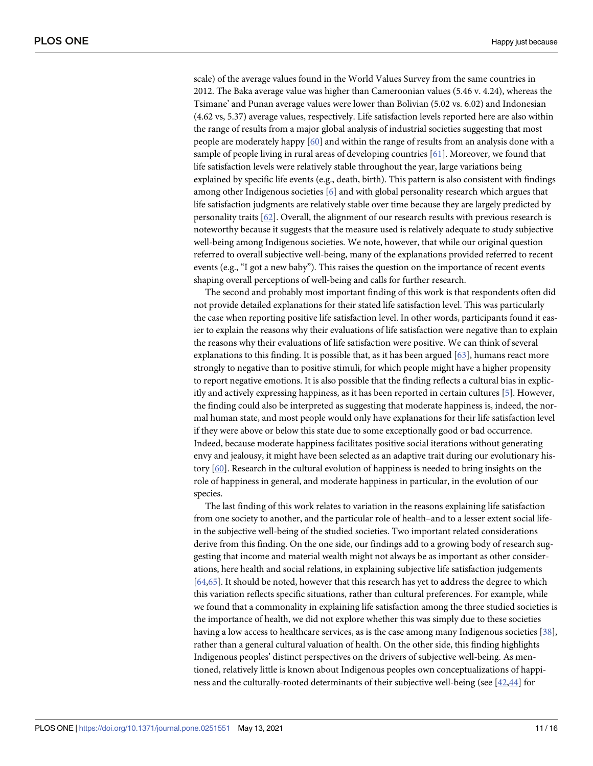<span id="page-10-0"></span>scale) of the average values found in the World Values Survey from the same countries in 2012. The Baka average value was higher than Cameroonian values (5.46 v. 4.24), whereas the Tsimane' and Punan average values were lower than Bolivian (5.02 vs. 6.02) and Indonesian (4.62 vs, 5.37) average values, respectively. Life satisfaction levels reported here are also within the range of results from a major global analysis of industrial societies suggesting that most people are moderately happy [\[60\]](#page-14-0) and within the range of results from an analysis done with a sample of people living in rural areas of developing countries [\[61\]](#page-15-0). Moreover, we found that life satisfaction levels were relatively stable throughout the year, large variations being explained by specific life events (e.g., death, birth). This pattern is also consistent with findings among other Indigenous societies [[6](#page-12-0)] and with global personality research which argues that life satisfaction judgments are relatively stable over time because they are largely predicted by personality traits [\[62\]](#page-15-0). Overall, the alignment of our research results with previous research is noteworthy because it suggests that the measure used is relatively adequate to study subjective well-being among Indigenous societies. We note, however, that while our original question referred to overall subjective well-being, many of the explanations provided referred to recent events (e.g., "I got a new baby"). This raises the question on the importance of recent events shaping overall perceptions of well-being and calls for further research.

The second and probably most important finding of this work is that respondents often did not provide detailed explanations for their stated life satisfaction level. This was particularly the case when reporting positive life satisfaction level. In other words, participants found it easier to explain the reasons why their evaluations of life satisfaction were negative than to explain the reasons why their evaluations of life satisfaction were positive. We can think of several explanations to this finding. It is possible that, as it has been argued [\[63\]](#page-15-0), humans react more strongly to negative than to positive stimuli, for which people might have a higher propensity to report negative emotions. It is also possible that the finding reflects a cultural bias in explicitly and actively expressing happiness, as it has been reported in certain cultures [[5](#page-12-0)]. However, the finding could also be interpreted as suggesting that moderate happiness is, indeed, the normal human state, and most people would only have explanations for their life satisfaction level if they were above or below this state due to some exceptionally good or bad occurrence. Indeed, because moderate happiness facilitates positive social iterations without generating envy and jealousy, it might have been selected as an adaptive trait during our evolutionary history [[60](#page-14-0)]. Research in the cultural evolution of happiness is needed to bring insights on the role of happiness in general, and moderate happiness in particular, in the evolution of our species.

The last finding of this work relates to variation in the reasons explaining life satisfaction from one society to another, and the particular role of health–and to a lesser extent social lifein the subjective well-being of the studied societies. Two important related considerations derive from this finding. On the one side, our findings add to a growing body of research suggesting that income and material wealth might not always be as important as other considerations, here health and social relations, in explaining subjective life satisfaction judgements [\[64,65\]](#page-15-0). It should be noted, however that this research has yet to address the degree to which this variation reflects specific situations, rather than cultural preferences. For example, while we found that a commonality in explaining life satisfaction among the three studied societies is the importance of health, we did not explore whether this was simply due to these societies having a low access to healthcare services, as is the case among many Indigenous societies [[38](#page-13-0)], rather than a general cultural valuation of health. On the other side, this finding highlights Indigenous peoples' distinct perspectives on the drivers of subjective well-being. As mentioned, relatively little is known about Indigenous peoples own conceptualizations of happiness and the culturally-rooted determinants of their subjective well-being (see [\[42,44](#page-14-0)] for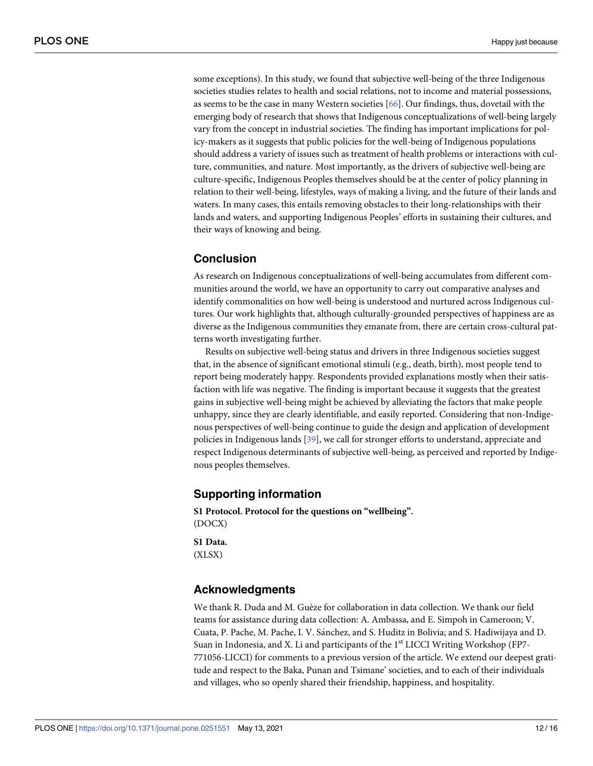<span id="page-11-0"></span>some exceptions). In this study, we found that subjective well-being of the three Indigenous societies studies relates to health and social relations, not to income and material possessions, as seems to be the case in many Western societies [\[66\]](#page-15-0). Our findings, thus, dovetail with the emerging body of research that shows that Indigenous conceptualizations of well-being largely vary from the concept in industrial societies. The finding has important implications for policy-makers as it suggests that public policies for the well-being of Indigenous populations should address a variety of issues such as treatment of health problems or interactions with culture, communities, and nature. Most importantly, as the drivers of subjective well-being are culture-specific, Indigenous Peoples themselves should be at the center of policy planning in relation to their well-being, lifestyles, ways of making a living, and the future of their lands and waters. In many cases, this entails removing obstacles to their long-relationships with their lands and waters, and supporting Indigenous Peoples' efforts in sustaining their cultures, and their ways of knowing and being.

## **Conclusion**

As research on Indigenous conceptualizations of well-being accumulates from different communities around the world, we have an opportunity to carry out comparative analyses and identify commonalities on how well-being is understood and nurtured across Indigenous cultures. Our work highlights that, although culturally-grounded perspectives of happiness are as diverse as the Indigenous communities they emanate from, there are certain cross-cultural patterns worth investigating further.

Results on subjective well-being status and drivers in three Indigenous societies suggest that, in the absence of significant emotional stimuli (e.g., death, birth), most people tend to report being moderately happy. Respondents provided explanations mostly when their satisfaction with life was negative. The finding is important because it suggests that the greatest gains in subjective well-being might be achieved by alleviating the factors that make people unhappy, since they are clearly identifiable, and easily reported. Considering that non-Indigenous perspectives of well-being continue to guide the design and application of development policies in Indigenous lands [[39](#page-14-0)], we call for stronger efforts to understand, appreciate and respect Indigenous determinants of subjective well-being, as perceived and reported by Indigenous peoples themselves.

# **Supporting information**

**S1 [Protocol](http://www.plosone.org/article/fetchSingleRepresentation.action?uri=info:doi/10.1371/journal.pone.0251551.s001). Protocol for the questions on "wellbeing".** (DOCX)

**S1 [Data](http://www.plosone.org/article/fetchSingleRepresentation.action?uri=info:doi/10.1371/journal.pone.0251551.s002).** (XLSX)

# **Acknowledgments**

We thank R. Duda and M. Guèze for collaboration in data collection. We thank our field teams for assistance during data collection: A. Ambassa, and E. Simpoh in Cameroon; V. Cuata, P. Pache, M. Pache, I. V. Sánchez, and S. Huditz in Bolivia; and S. Hadiwijaya and D. Suan in Indonesia, and X. Li and participants of the  $1<sup>st</sup> LICCI Writing Workshop (FP7-$ 771056-LICCI) for comments to a previous version of the article. We extend our deepest gratitude and respect to the Baka, Punan and Tsimane' societies, and to each of their individuals and villages, who so openly shared their friendship, happiness, and hospitality.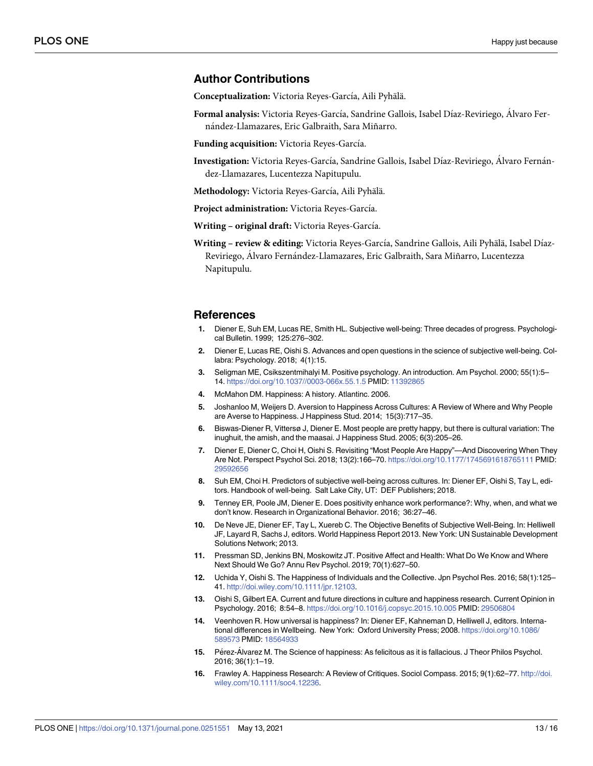#### <span id="page-12-0"></span>**Author Contributions**

**Conceptualization:** Victoria Reyes-García, Aili Pyhälä.

**Formal analysis:** Victoria Reyes-García, Sandrine Gallois, Isabel Díaz-Reviriego, Álvaro Fernández-Llamazares, Eric Galbraith, Sara Miñarro.

**Funding acquisition:** Victoria Reyes-García.

Investigation: Victoria Reyes-García, Sandrine Gallois, Isabel Díaz-Reviriego, Alvaro Fernández-Llamazares, Lucentezza Napitupulu.

Methodology: Victoria Reyes-García, Aili Pyhälä.

**Project administration:** Victoria Reyes-García.

**Writing – original draft:** Victoria Reyes-García.

**Writing** - review & editing: Victoria Reyes-García, Sandrine Gallois, Aili Pyhälä, Isabel Díaz-Reviriego, Álvaro Fernández-Llamazares, Eric Galbraith, Sara Miñarro, Lucentezza Napitupulu.

#### **References**

- **[1](#page-1-0).** Diener E, Suh EM, Lucas RE, Smith HL. Subjective well-being: Three decades of progress. Psychological Bulletin. 1999; 125:276–302.
- **[2](#page-1-0).** Diener E, Lucas RE, Oishi S. Advances and open questions in the science of subjective well-being. Collabra: Psychology. 2018; 4(1):15.
- **[3](#page-1-0).** Seligman ME, Csikszentmihalyi M. Positive psychology. An introduction. Am Psychol. 2000; 55(1):5– 14. <https://doi.org/10.1037//0003-066x.55.1.5> PMID: [11392865](http://www.ncbi.nlm.nih.gov/pubmed/11392865)
- **[4](#page-1-0).** McMahon DM. Happiness: A history. Atlantinc. 2006.
- **[5](#page-1-0).** Joshanloo M, Weijers D. Aversion to Happiness Across Cultures: A Review of Where and Why People are Averse to Happiness. J Happiness Stud. 2014; 15(3):717–35.
- **[6](#page-1-0).** Biswas-Diener R, Vittersø J, Diener E. Most people are pretty happy, but there is cultural variation: The inughuit, the amish, and the maasai. J Happiness Stud. 2005; 6(3):205–26.
- **[7](#page-1-0).** Diener E, Diener C, Choi H, Oishi S. Revisiting "Most People Are Happy"—And Discovering When They Are Not. Perspect Psychol Sci. 2018; 13(2):166–70. <https://doi.org/10.1177/1745691618765111> PMID: [29592656](http://www.ncbi.nlm.nih.gov/pubmed/29592656)
- **[8](#page-1-0).** Suh EM, Choi H. Predictors of subjective well-being across cultures. In: Diener EF, Oishi S, Tay L, editors. Handbook of well-being. Salt Lake City, UT: DEF Publishers; 2018.
- **[9](#page-1-0).** Tenney ER, Poole JM, Diener E. Does positivity enhance work performance?: Why, when, and what we don't know. Research in Organizational Behavior. 2016; 36:27–46.
- **10.** De Neve JE, Diener EF, Tay L, Xuereb C. The Objective Benefits of Subjective Well-Being. In: Helliwell JF, Layard R, Sachs J, editors. World Happiness Report 2013. New York: UN Sustainable Development Solutions Network; 2013.
- **[11](#page-1-0).** Pressman SD, Jenkins BN, Moskowitz JT. Positive Affect and Health: What Do We Know and Where Next Should We Go? Annu Rev Psychol. 2019; 70(1):627–50.
- **[12](#page-1-0).** Uchida Y, Oishi S. The Happiness of Individuals and the Collective. Jpn Psychol Res. 2016; 58(1):125– 41. [http://doi.wiley.com/10.1111/jpr.12103.](http://doi.wiley.com/10.1111/jpr.12103)
- **13.** Oishi S, Gilbert EA. Current and future directions in culture and happiness research. Current Opinion in Psychology. 2016; 8:54–8. <https://doi.org/10.1016/j.copsyc.2015.10.005> PMID: [29506804](http://www.ncbi.nlm.nih.gov/pubmed/29506804)
- **[14](#page-1-0).** Veenhoven R. How universal is happiness? In: Diener EF, Kahneman D, Helliwell J, editors. International differences in Wellbeing. New York: Oxford University Press; 2008. [https://doi.org/10.1086/](https://doi.org/10.1086/589573) [589573](https://doi.org/10.1086/589573) PMID: [18564933](http://www.ncbi.nlm.nih.gov/pubmed/18564933)
- **[15](#page-1-0).** Pérez-Álvarez M. The Science of happiness: As felicitous as it is fallacious. J Theor Philos Psychol. 2016; 36(1):1–19.
- **[16](#page-1-0).** Frawley A. Happiness Research: A Review of Critiques. Sociol Compass. 2015; 9(1):62–77. [http://doi.](http://doi.wiley.com/10.1111/soc4.12236) [wiley.com/10.1111/soc4.12236](http://doi.wiley.com/10.1111/soc4.12236).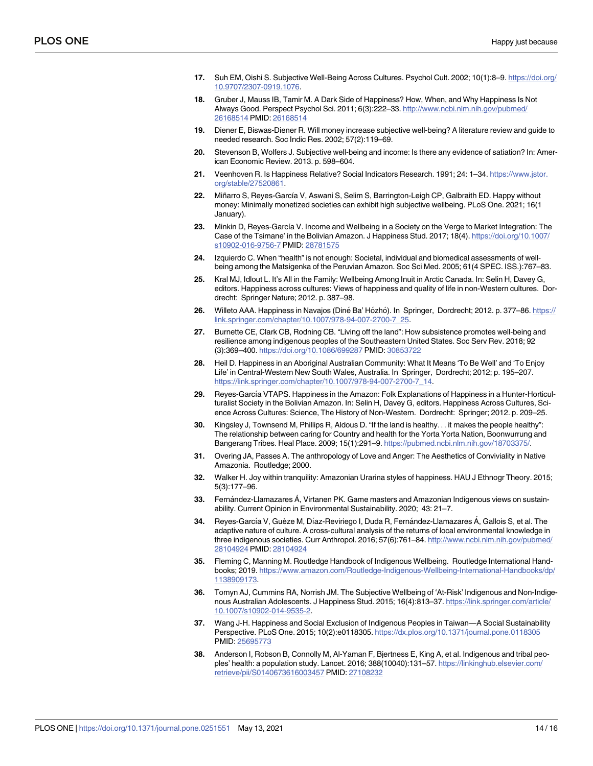- <span id="page-13-0"></span>**[17](#page-1-0).** Suh EM, Oishi S. Subjective Well-Being Across Cultures. Psychol Cult. 2002; 10(1):8–9. [https://doi.org/](https://doi.org/10.9707/2307-0919.1076) [10.9707/2307-0919.1076](https://doi.org/10.9707/2307-0919.1076).
- **[18](#page-1-0).** Gruber J, Mauss IB, Tamir M. A Dark Side of Happiness? How, When, and Why Happiness Is Not Always Good. Perspect Psychol Sci. 2011; 6(3):222–33. [http://www.ncbi.nlm.nih.gov/pubmed/](http://www.ncbi.nlm.nih.gov/pubmed/26168514) [26168514](http://www.ncbi.nlm.nih.gov/pubmed/26168514) PMID: [26168514](http://www.ncbi.nlm.nih.gov/pubmed/26168514)
- **[19](#page-1-0).** Diener E, Biswas-Diener R. Will money increase subjective well-being? A literature review and guide to needed research. Soc Indic Res. 2002; 57(2):119–69.
- **20.** Stevenson B, Wolfers J. Subjective well-being and income: Is there any evidence of satiation? In: American Economic Review. 2013. p. 598–604.
- **[21](#page-1-0).** Veenhoven R. Is Happiness Relative? Social Indicators Research. 1991; 24: 1–34. [https://www.jstor.](https://www.jstor.org/stable/27520861) [org/stable/27520861](https://www.jstor.org/stable/27520861).
- **[22](#page-1-0).** Miñarro S, Reyes-Garcı´a V, Aswani S, Selim S, Barrington-Leigh CP, Galbraith ED. Happy without money: Minimally monetized societies can exhibit high subjective wellbeing. PLoS One. 2021; 16(1 January).
- **[23](#page-1-0).** Minkin D, Reyes-Garcı´a V. Income and Wellbeing in a Society on the Verge to Market Integration: The Case of the Tsimane' in the Bolivian Amazon. J Happiness Stud. 2017; 18(4). [https://doi.org/10.1007/](https://doi.org/10.1007/s10902-016-9756-7) [s10902-016-9756-7](https://doi.org/10.1007/s10902-016-9756-7) PMID: [28781575](http://www.ncbi.nlm.nih.gov/pubmed/28781575)
- **[24](#page-1-0).** Izquierdo C. When "health" is not enough: Societal, individual and biomedical assessments of wellbeing among the Matsigenka of the Peruvian Amazon. Soc Sci Med. 2005; 61(4 SPEC. ISS.):767–83.
- **[25](#page-1-0).** Kral MJ, Idlout L. It's All in the Family: Wellbeing Among Inuit in Arctic Canada. In: Selin H, Davey G, editors. Happiness across cultures: Views of happiness and quality of life in non-Western cultures. Dordrecht: Springer Nature; 2012. p. 387–98.
- **[26](#page-1-0).** Willeto AAA. Happiness in Navajos (Dine´ Ba' Ho´zho´). In Springer, Dordrecht; 2012. p. 377–86. [https://](https://link.springer.com/chapter/10.1007/978-94-007-2700-7_25) [link.springer.com/chapter/10.1007/978-94-007-2700-7\\_25](https://link.springer.com/chapter/10.1007/978-94-007-2700-7_25).
- **[27](#page-1-0).** Burnette CE, Clark CB, Rodning CB. "Living off the land": How subsistence promotes well-being and resilience among indigenous peoples of the Southeastern United States. Soc Serv Rev. 2018; 92 (3):369–400. <https://doi.org/10.1086/699287> PMID: [30853722](http://www.ncbi.nlm.nih.gov/pubmed/30853722)
- **[28](#page-1-0).** Heil D. Happiness in an Aboriginal Australian Community: What It Means 'To Be Well' and 'To Enjoy Life' in Central-Western New South Wales, Australia. In Springer, Dordrecht; 2012; p. 195–207. [https://link.springer.com/chapter/10.1007/978-94-007-2700-7\\_14](https://link.springer.com/chapter/10.1007/978-94-007-2700-7_14).
- [29](#page-1-0). Reyes-García VTAPS. Happiness in the Amazon: Folk Explanations of Happiness in a Hunter-Horticulturalist Society in the Bolivian Amazon. In: Selin H, Davey G, editors. Happiness Across Cultures, Science Across Cultures: Science, The History of Non-Western. Dordrecht: Springer; 2012. p. 209–25.
- **[30](#page-1-0).** Kingsley J, Townsend M, Phillips R, Aldous D. "If the land is healthy. . . it makes the people healthy": The relationship between caring for Country and health for the Yorta Yorta Nation, Boonwurrung and Bangerang Tribes. Heal Place. 2009; 15(1):291–9. <https://pubmed.ncbi.nlm.nih.gov/18703375/>.
- **[31](#page-2-0).** Overing JA, Passes A. The anthropology of Love and Anger: The Aesthetics of Conviviality in Native Amazonia. Routledge; 2000.
- **32.** Walker H. Joy within tranquility: Amazonian Urarina styles of happiness. HAU J Ethnogr Theory. 2015; 5(3):177–96.
- **[33](#page-2-0).** Fernández-Llamazares Á, Virtanen PK. Game masters and Amazonian Indigenous views on sustainability. Current Opinion in Environmental Sustainability. 2020; 43: 21–7.
- **[34](#page-2-0).** Reyes-García V, Guèze M, Díaz-Reviriego I, Duda R, Fernández-Llamazares Á, Gallois S, et al. The adaptive nature of culture. A cross-cultural analysis of the returns of local environmental knowledge in three indigenous societies. Curr Anthropol. 2016; 57(6):761–84. [http://www.ncbi.nlm.nih.gov/pubmed/](http://www.ncbi.nlm.nih.gov/pubmed/28104924) [28104924](http://www.ncbi.nlm.nih.gov/pubmed/28104924) PMID: [28104924](http://www.ncbi.nlm.nih.gov/pubmed/28104924)
- **[35](#page-2-0).** Fleming C, Manning M. Routledge Handbook of Indigenous Wellbeing. Routledge International Handbooks; 2019. [https://www.amazon.com/Routledge-Indigenous-Wellbeing-International-Handbooks/dp/](https://www.amazon.com/Routledge-Indigenous-Wellbeing-International-Handbooks/dp/1138909173) [1138909173](https://www.amazon.com/Routledge-Indigenous-Wellbeing-International-Handbooks/dp/1138909173).
- **[36](#page-2-0).** Tomyn AJ, Cummins RA, Norrish JM. The Subjective Wellbeing of 'At-Risk' Indigenous and Non-Indigenous Australian Adolescents. J Happiness Stud. 2015; 16(4):813–37. [https://link.springer.com/article/](https://link.springer.com/article/10.1007/s10902-014-9535-2) [10.1007/s10902-014-9535-2.](https://link.springer.com/article/10.1007/s10902-014-9535-2)
- **37.** Wang J-H. Happiness and Social Exclusion of Indigenous Peoples in Taiwan—A Social Sustainability Perspective. PLoS One. 2015; 10(2):e0118305. <https://dx.plos.org/10.1371/journal.pone.0118305> PMID: [25695773](http://www.ncbi.nlm.nih.gov/pubmed/25695773)
- **[38](#page-2-0).** Anderson I, Robson B, Connolly M, Al-Yaman F, Bjertness E, King A, et al. Indigenous and tribal peoples' health: a population study. Lancet. 2016; 388(10040):131–57. [https://linkinghub.elsevier.com/](https://linkinghub.elsevier.com/retrieve/pii/S0140673616003457) [retrieve/pii/S0140673616003457](https://linkinghub.elsevier.com/retrieve/pii/S0140673616003457) PMID: [27108232](http://www.ncbi.nlm.nih.gov/pubmed/27108232)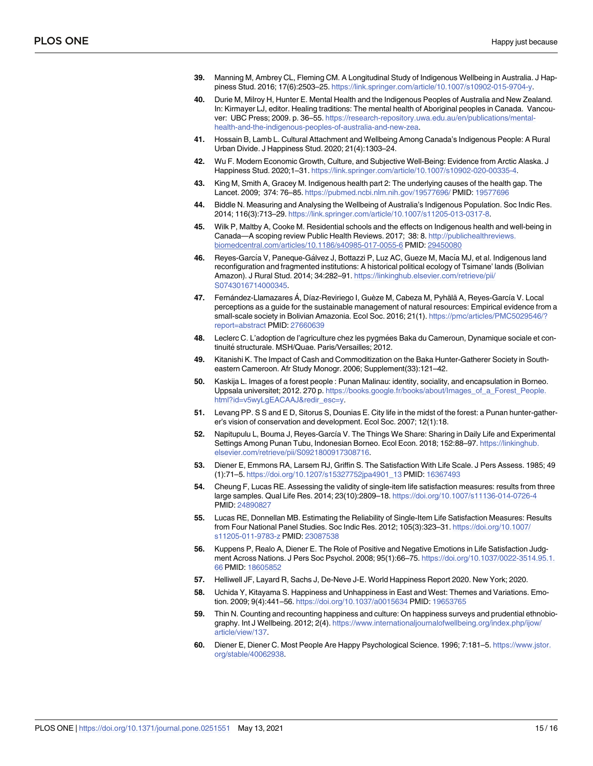- <span id="page-14-0"></span>**[39](#page-2-0).** Manning M, Ambrey CL, Fleming CM. A Longitudinal Study of Indigenous Wellbeing in Australia. J Happiness Stud. 2016; 17(6):2503–25. [https://link.springer.com/article/10.1007/s10902-015-9704-y.](https://link.springer.com/article/10.1007/s10902-015-9704-y)
- **[40](#page-2-0).** Durie M, Milroy H, Hunter E. Mental Health and the Indigenous Peoples of Australia and New Zealand. In: Kirmayer LJ, editor. Healing traditions: The mental health of Aboriginal peoples in Canada. Vancouver: UBC Press; 2009. p. 36–55. [https://research-repository.uwa.edu.au/en/publications/mental](https://research-repository.uwa.edu.au/en/publications/mental-health-and-the-indigenous-peoples-of-australia-and-new-zea)[health-and-the-indigenous-peoples-of-australia-and-new-zea](https://research-repository.uwa.edu.au/en/publications/mental-health-and-the-indigenous-peoples-of-australia-and-new-zea).
- **41.** Hossain B, Lamb L. Cultural Attachment and Wellbeing Among Canada's Indigenous People: A Rural Urban Divide. J Happiness Stud. 2020; 21(4):1303–24.
- **[42](#page-2-0).** Wu F. Modern Economic Growth, Culture, and Subjective Well-Being: Evidence from Arctic Alaska. J Happiness Stud. 2020;1–31. <https://link.springer.com/article/10.1007/s10902-020-00335-4>.
- **[43](#page-2-0).** King M, Smith A, Gracey M. Indigenous health part 2: The underlying causes of the health gap. The Lancet. 2009; 374: 76–85. <https://pubmed.ncbi.nlm.nih.gov/19577696/> PMID: [19577696](http://www.ncbi.nlm.nih.gov/pubmed/19577696)
- **[44](#page-2-0).** Biddle N. Measuring and Analysing the Wellbeing of Australia's Indigenous Population. Soc Indic Res. 2014; 116(3):713–29. <https://link.springer.com/article/10.1007/s11205-013-0317-8>.
- **[45](#page-2-0).** Wilk P, Maltby A, Cooke M. Residential schools and the effects on Indigenous health and well-being in Canada—A scoping review Public Health Reviews. 2017; 38: 8. [http://publichealthreviews.](http://publichealthreviews.biomedcentral.com/articles/10.1186/s40985-017-0055-6) [biomedcentral.com/articles/10.1186/s40985-017-0055-6](http://publichealthreviews.biomedcentral.com/articles/10.1186/s40985-017-0055-6) PMID: [29450080](http://www.ncbi.nlm.nih.gov/pubmed/29450080)
- [46](#page-2-0). Reyes-García V, Paneque-Gálvez J, Bottazzi P, Luz AC, Gueze M, Macía MJ, et al. Indigenous land reconfiguration and fragmented institutions: A historical political ecology of Tsimane' lands (Bolivian Amazon). J Rural Stud. 2014; 34:282–91. [https://linkinghub.elsevier.com/retrieve/pii/](https://linkinghub.elsevier.com/retrieve/pii/S0743016714000345) [S0743016714000345.](https://linkinghub.elsevier.com/retrieve/pii/S0743016714000345)
- [47](#page-3-0). Fernández-Llamazares Á, Díaz-Reviriego I, Guèze M, Cabeza M, Pyhälä A, Reyes-García V. Local perceptions as a guide for the sustainable management of natural resources: Empirical evidence from a small-scale society in Bolivian Amazonia. Ecol Soc. 2016; 21(1). [https://pmc/articles/PMC5029546/?](https://pmc/articles/PMC5029546/?report=abstract) [report=abstract](https://pmc/articles/PMC5029546/?report=abstract) PMID: [27660639](http://www.ncbi.nlm.nih.gov/pubmed/27660639)
- **[48](#page-3-0).** Leclerc C. L'adoption de l'agriculture chez les pygmées Baka du Cameroun, Dynamique sociale et continuité structurale. MSH/Quae. Paris/Versailles; 2012.
- **[49](#page-3-0).** Kitanishi K. The Impact of Cash and Commoditization on the Baka Hunter-Gatherer Society in Southeastern Cameroon. Afr Study Monogr. 2006; Supplement(33):121–42.
- **[50](#page-3-0).** Kaskija L. Images of a forest people : Punan Malinau: identity, sociality, and encapsulation in Borneo. Uppsala universitet; 2012. 270 p. [https://books.google.fr/books/about/Images\\_of\\_a\\_Forest\\_People.](https://books.google.fr/books/about/Images_of_a_Forest_People.html?id=v5wyLgEACAAJ&redir_esc=y) [html?id=v5wyLgEACAAJ&redir\\_esc=y.](https://books.google.fr/books/about/Images_of_a_Forest_People.html?id=v5wyLgEACAAJ&redir_esc=y)
- **[51](#page-3-0).** Levang PP. S S and E D, Sitorus S, Dounias E. City life in the midst of the forest: a Punan hunter-gatherer's vision of conservation and development. Ecol Soc. 2007; 12(1):18.
- **[52](#page-3-0).** Napitupulu L, Bouma J, Reyes-García V. The Things We Share: Sharing in Daily Life and Experimental Settings Among Punan Tubu, Indonesian Borneo. Ecol Econ. 2018; 152:88–97. [https://linkinghub.](https://linkinghub.elsevier.com/retrieve/pii/S0921800917308716) [elsevier.com/retrieve/pii/S0921800917308716](https://linkinghub.elsevier.com/retrieve/pii/S0921800917308716).
- **[53](#page-4-0).** Diener E, Emmons RA, Larsem RJ, Griffin S. The Satisfaction With Life Scale. J Pers Assess. 1985; 49 (1):71–5. [https://doi.org/10.1207/s15327752jpa4901\\_13](https://doi.org/10.1207/s15327752jpa4901%5F13) PMID: [16367493](http://www.ncbi.nlm.nih.gov/pubmed/16367493)
- **[54](#page-4-0).** Cheung F, Lucas RE. Assessing the validity of single-item life satisfaction measures: results from three large samples. Qual Life Res. 2014; 23(10):2809–18. <https://doi.org/10.1007/s11136-014-0726-4> PMID: [24890827](http://www.ncbi.nlm.nih.gov/pubmed/24890827)
- **[55](#page-4-0).** Lucas RE, Donnellan MB. Estimating the Reliability of Single-Item Life Satisfaction Measures: Results from Four National Panel Studies. Soc Indic Res. 2012; 105(3):323–31. [https://doi.org/10.1007/](https://doi.org/10.1007/s11205-011-9783-z) [s11205-011-9783-z](https://doi.org/10.1007/s11205-011-9783-z) PMID: [23087538](http://www.ncbi.nlm.nih.gov/pubmed/23087538)
- **[56](#page-4-0).** Kuppens P, Realo A, Diener E. The Role of Positive and Negative Emotions in Life Satisfaction Judgment Across Nations. J Pers Soc Psychol. 2008; 95(1):66–75. [https://doi.org/10.1037/0022-3514.95.1.](https://doi.org/10.1037/0022-3514.95.1.66) [66](https://doi.org/10.1037/0022-3514.95.1.66) PMID: [18605852](http://www.ncbi.nlm.nih.gov/pubmed/18605852)
- **[57](#page-4-0).** Helliwell JF, Layard R, Sachs J, De-Neve J-E. World Happiness Report 2020. New York; 2020.
- **[58](#page-9-0).** Uchida Y, Kitayama S. Happiness and Unhappiness in East and West: Themes and Variations. Emotion. 2009; 9(4):441–56. <https://doi.org/10.1037/a0015634> PMID: [19653765](http://www.ncbi.nlm.nih.gov/pubmed/19653765)
- **[59](#page-9-0).** Thin N. Counting and recounting happiness and culture: On happiness surveys and prudential ethnobiography. Int J Wellbeing. 2012; 2(4). [https://www.internationaljournalofwellbeing.org/index.php/ijow/](https://www.internationaljournalofwellbeing.org/index.php/ijow/article/view/137) [article/view/137.](https://www.internationaljournalofwellbeing.org/index.php/ijow/article/view/137)
- **[60](#page-10-0).** Diener E, Diener C. Most People Are Happy Psychological Science. 1996; 7:181–5. [https://www.jstor.](https://www.jstor.org/stable/40062938) [org/stable/40062938](https://www.jstor.org/stable/40062938).